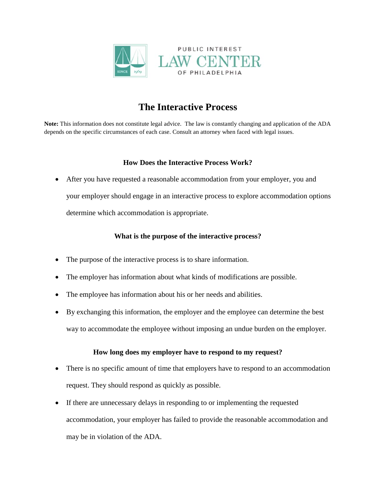

# **The Interactive Process**

**Note:** This information does not constitute legal advice. The law is constantly changing and application of the ADA depends on the specific circumstances of each case. Consult an attorney when faced with legal issues.

### **How Does the Interactive Process Work?**

• After you have requested a reasonable accommodation from your employer, you and your employer should engage in an interactive process to explore accommodation options determine which accommodation is appropriate.

## **What is the purpose of the interactive process?**

- The purpose of the interactive process is to share information.
- The employer has information about what kinds of modifications are possible.
- The employee has information about his or her needs and abilities.
- By exchanging this information, the employer and the employee can determine the best way to accommodate the employee without imposing an undue burden on the employer.

## **How long does my employer have to respond to my request?**

- There is no specific amount of time that employers have to respond to an accommodation request. They should respond as quickly as possible.
- If there are unnecessary delays in responding to or implementing the requested accommodation, your employer has failed to provide the reasonable accommodation and may be in violation of the ADA.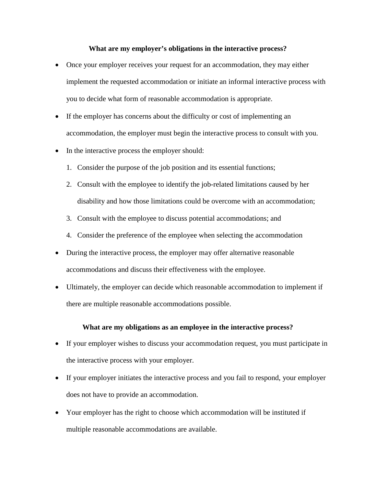#### **What are my employer's obligations in the interactive process?**

- Once your employer receives your request for an accommodation, they may either implement the requested accommodation or initiate an informal interactive process with you to decide what form of reasonable accommodation is appropriate.
- If the employer has concerns about the difficulty or cost of implementing an accommodation, the employer must begin the interactive process to consult with you.
- In the interactive process the employer should:
	- 1. Consider the purpose of the job position and its essential functions;
	- 2. Consult with the employee to identify the job-related limitations caused by her disability and how those limitations could be overcome with an accommodation;
	- 3. Consult with the employee to discuss potential accommodations; and
	- 4. Consider the preference of the employee when selecting the accommodation
- During the interactive process, the employer may offer alternative reasonable accommodations and discuss their effectiveness with the employee.
- Ultimately, the employer can decide which reasonable accommodation to implement if there are multiple reasonable accommodations possible.

#### **What are my obligations as an employee in the interactive process?**

- If your employer wishes to discuss your accommodation request, you must participate in the interactive process with your employer.
- If your employer initiates the interactive process and you fail to respond, your employer does not have to provide an accommodation.
- Your employer has the right to choose which accommodation will be instituted if multiple reasonable accommodations are available.